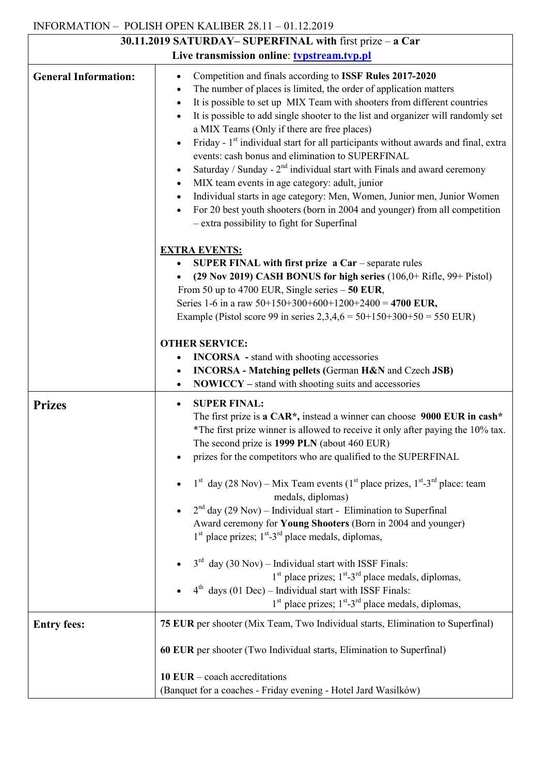## INFORMATION – POLISH OPEN KALIBER 28.11 – 01.12.2019

| 30.11.2019 SATURDAY-SUPERFINAL with first prize - a Car |                                                                                                                                                                                                                                                                                                                                                                                                                                                                                                                                                                                                                                                                                                                                                                                                                                                                                                                                                        |
|---------------------------------------------------------|--------------------------------------------------------------------------------------------------------------------------------------------------------------------------------------------------------------------------------------------------------------------------------------------------------------------------------------------------------------------------------------------------------------------------------------------------------------------------------------------------------------------------------------------------------------------------------------------------------------------------------------------------------------------------------------------------------------------------------------------------------------------------------------------------------------------------------------------------------------------------------------------------------------------------------------------------------|
| Live transmission online: typstream.typ.pl              |                                                                                                                                                                                                                                                                                                                                                                                                                                                                                                                                                                                                                                                                                                                                                                                                                                                                                                                                                        |
| <b>General Information:</b>                             | Competition and finals according to ISSF Rules 2017-2020<br>$\bullet$<br>The number of places is limited, the order of application matters<br>٠<br>It is possible to set up MIX Team with shooters from different countries<br>$\bullet$<br>It is possible to add single shooter to the list and organizer will randomly set<br>$\bullet$<br>a MIX Teams (Only if there are free places)<br>Friday - 1 <sup>st</sup> individual start for all participants without awards and final, extra<br>$\bullet$<br>events: cash bonus and elimination to SUPERFINAL<br>Saturday / Sunday - $2nd$ individual start with Finals and award ceremony<br>$\bullet$<br>MIX team events in age category: adult, junior<br>$\bullet$<br>Individual starts in age category: Men, Women, Junior men, Junior Women<br>$\bullet$<br>For 20 best youth shooters (born in 2004 and younger) from all competition<br>$\bullet$<br>- extra possibility to fight for Superfinal |
|                                                         | <b>EXTRA EVENTS:</b><br>SUPER FINAL with first prize $a$ Car – separate rules<br>$\bullet$<br>(29 Nov 2019) CASH BONUS for high series $(106,0+$ Rifle, 99+ Pistol)<br>From 50 up to 4700 EUR, Single series $-50$ EUR,<br>Series 1-6 in a raw $50+150+300+600+1200+2400 = 4700$ EUR,<br>Example (Pistol score 99 in series $2,3,4,6 = 50+150+300+50 = 550$ EUR)<br><b>OTHER SERVICE:</b><br><b>INCORSA</b> - stand with shooting accessories<br>$\bullet$<br><b>INCORSA</b> - Matching pellets (German H&N and Czech JSB)<br>$\bullet$<br><b>NOWICCY</b> – stand with shooting suits and accessories<br>$\bullet$                                                                                                                                                                                                                                                                                                                                     |
| <b>Prizes</b>                                           | <b>SUPER FINAL:</b><br>$\bullet$<br>The first prize is a CAR*, instead a winner can choose 9000 EUR in cash*<br>*The first prize winner is allowed to receive it only after paying the 10% tax.<br>The second prize is 1999 PLN (about 460 EUR)<br>prizes for the competitors who are qualified to the SUPERFINAL<br>$1st$ day (28 Nov) – Mix Team events ( $1st$ place prizes, $1st$ -3 <sup>rd</sup> place: team<br>medals, diplomas)<br>$2nd$ day (29 Nov) – Individual start - Elimination to Superfinal<br>$\bullet$<br>Award ceremony for Young Shooters (Born in 2004 and younger)<br>$1st$ place prizes; $1st - 3rd$ place medals, diplomas,<br>$3^{rd}$ day (30 Nov) – Individual start with ISSF Finals:<br>$1st$ place prizes; $1st - 3rd$ place medals, diplomas,<br>$4th$ days (01 Dec) – Individual start with ISSF Finals:<br>1 <sup>st</sup> place prizes; 1 <sup>st</sup> -3 <sup>rd</sup> place medals, diplomas,                    |
| <b>Entry fees:</b>                                      | 75 EUR per shooter (Mix Team, Two Individual starts, Elimination to Superfinal)<br>60 EUR per shooter (Two Individual starts, Elimination to Superfinal)<br>10 EUR $-$ coach accreditations                                                                                                                                                                                                                                                                                                                                                                                                                                                                                                                                                                                                                                                                                                                                                            |
|                                                         | (Banquet for a coaches - Friday evening - Hotel Jard Wasilków)                                                                                                                                                                                                                                                                                                                                                                                                                                                                                                                                                                                                                                                                                                                                                                                                                                                                                         |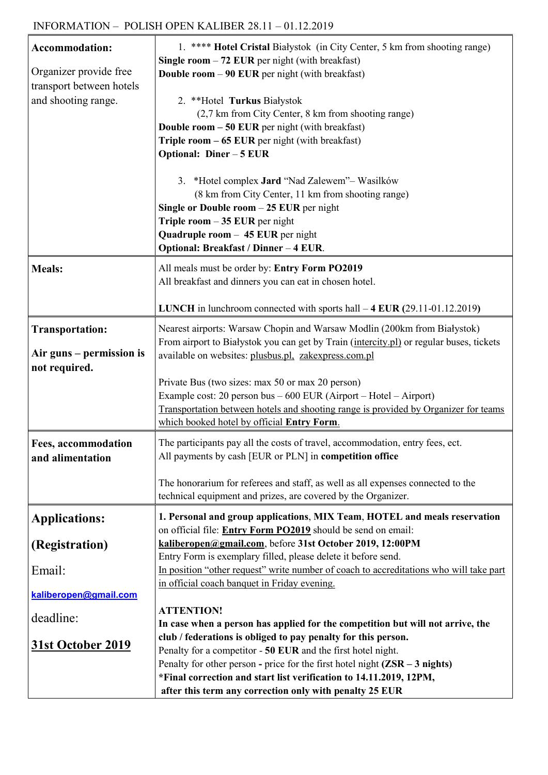| Organizer provide free<br>transport between hotels<br>and shooting range.                                  | Single room $-72$ EUR per night (with breakfast)                                                                                                                                                                                                                                                                                                                                                                                                                                                                                                                                                                                                                                            |
|------------------------------------------------------------------------------------------------------------|---------------------------------------------------------------------------------------------------------------------------------------------------------------------------------------------------------------------------------------------------------------------------------------------------------------------------------------------------------------------------------------------------------------------------------------------------------------------------------------------------------------------------------------------------------------------------------------------------------------------------------------------------------------------------------------------|
|                                                                                                            |                                                                                                                                                                                                                                                                                                                                                                                                                                                                                                                                                                                                                                                                                             |
|                                                                                                            | <b>Double room - 90 EUR</b> per night (with breakfast)                                                                                                                                                                                                                                                                                                                                                                                                                                                                                                                                                                                                                                      |
|                                                                                                            | 2. **Hotel Turkus Białystok                                                                                                                                                                                                                                                                                                                                                                                                                                                                                                                                                                                                                                                                 |
|                                                                                                            | (2,7 km from City Center, 8 km from shooting range)                                                                                                                                                                                                                                                                                                                                                                                                                                                                                                                                                                                                                                         |
|                                                                                                            | <b>Double room - 50 EUR</b> per night (with breakfast)                                                                                                                                                                                                                                                                                                                                                                                                                                                                                                                                                                                                                                      |
|                                                                                                            | Triple room $-65$ EUR per night (with breakfast)                                                                                                                                                                                                                                                                                                                                                                                                                                                                                                                                                                                                                                            |
|                                                                                                            | Optional: Diner - 5 EUR                                                                                                                                                                                                                                                                                                                                                                                                                                                                                                                                                                                                                                                                     |
|                                                                                                            |                                                                                                                                                                                                                                                                                                                                                                                                                                                                                                                                                                                                                                                                                             |
|                                                                                                            | 3. *Hotel complex Jard "Nad Zalewem"- Wasilków                                                                                                                                                                                                                                                                                                                                                                                                                                                                                                                                                                                                                                              |
|                                                                                                            | (8 km from City Center, 11 km from shooting range)                                                                                                                                                                                                                                                                                                                                                                                                                                                                                                                                                                                                                                          |
|                                                                                                            | Single or Double room $-25$ EUR per night                                                                                                                                                                                                                                                                                                                                                                                                                                                                                                                                                                                                                                                   |
|                                                                                                            | Triple room $-35$ EUR per night                                                                                                                                                                                                                                                                                                                                                                                                                                                                                                                                                                                                                                                             |
|                                                                                                            | Quadruple room - 45 EUR per night                                                                                                                                                                                                                                                                                                                                                                                                                                                                                                                                                                                                                                                           |
|                                                                                                            | Optional: Breakfast / Dinner - 4 EUR.                                                                                                                                                                                                                                                                                                                                                                                                                                                                                                                                                                                                                                                       |
| <b>Meals:</b>                                                                                              | All meals must be order by: Entry Form PO2019                                                                                                                                                                                                                                                                                                                                                                                                                                                                                                                                                                                                                                               |
|                                                                                                            | All breakfast and dinners you can eat in chosen hotel.                                                                                                                                                                                                                                                                                                                                                                                                                                                                                                                                                                                                                                      |
|                                                                                                            |                                                                                                                                                                                                                                                                                                                                                                                                                                                                                                                                                                                                                                                                                             |
|                                                                                                            | <b>LUNCH</b> in lunchroom connected with sports hall $-4$ <b>EUR</b> (29.11-01.12.2019)                                                                                                                                                                                                                                                                                                                                                                                                                                                                                                                                                                                                     |
| <b>Transportation:</b>                                                                                     | Nearest airports: Warsaw Chopin and Warsaw Modlin (200km from Białystok)                                                                                                                                                                                                                                                                                                                                                                                                                                                                                                                                                                                                                    |
|                                                                                                            | From airport to Białystok you can get by Train (intercity.pl) or regular buses, tickets                                                                                                                                                                                                                                                                                                                                                                                                                                                                                                                                                                                                     |
| Air guns – permission is                                                                                   | available on websites: plusbus.pl, zakexpress.com.pl                                                                                                                                                                                                                                                                                                                                                                                                                                                                                                                                                                                                                                        |
| not required.                                                                                              |                                                                                                                                                                                                                                                                                                                                                                                                                                                                                                                                                                                                                                                                                             |
|                                                                                                            |                                                                                                                                                                                                                                                                                                                                                                                                                                                                                                                                                                                                                                                                                             |
|                                                                                                            |                                                                                                                                                                                                                                                                                                                                                                                                                                                                                                                                                                                                                                                                                             |
|                                                                                                            | which booked hotel by official Entry Form.                                                                                                                                                                                                                                                                                                                                                                                                                                                                                                                                                                                                                                                  |
|                                                                                                            |                                                                                                                                                                                                                                                                                                                                                                                                                                                                                                                                                                                                                                                                                             |
|                                                                                                            |                                                                                                                                                                                                                                                                                                                                                                                                                                                                                                                                                                                                                                                                                             |
|                                                                                                            |                                                                                                                                                                                                                                                                                                                                                                                                                                                                                                                                                                                                                                                                                             |
|                                                                                                            | The honorarium for referees and staff, as well as all expenses connected to the                                                                                                                                                                                                                                                                                                                                                                                                                                                                                                                                                                                                             |
|                                                                                                            | technical equipment and prizes, are covered by the Organizer.                                                                                                                                                                                                                                                                                                                                                                                                                                                                                                                                                                                                                               |
|                                                                                                            |                                                                                                                                                                                                                                                                                                                                                                                                                                                                                                                                                                                                                                                                                             |
|                                                                                                            | on official file: Entry Form PO2019 should be send on email:                                                                                                                                                                                                                                                                                                                                                                                                                                                                                                                                                                                                                                |
|                                                                                                            | kaliberopen@gmail.com, before 31st October 2019, 12:00PM                                                                                                                                                                                                                                                                                                                                                                                                                                                                                                                                                                                                                                    |
|                                                                                                            | Entry Form is exemplary filled, please delete it before send.                                                                                                                                                                                                                                                                                                                                                                                                                                                                                                                                                                                                                               |
| Email:                                                                                                     |                                                                                                                                                                                                                                                                                                                                                                                                                                                                                                                                                                                                                                                                                             |
|                                                                                                            |                                                                                                                                                                                                                                                                                                                                                                                                                                                                                                                                                                                                                                                                                             |
|                                                                                                            |                                                                                                                                                                                                                                                                                                                                                                                                                                                                                                                                                                                                                                                                                             |
|                                                                                                            |                                                                                                                                                                                                                                                                                                                                                                                                                                                                                                                                                                                                                                                                                             |
| deadline:                                                                                                  |                                                                                                                                                                                                                                                                                                                                                                                                                                                                                                                                                                                                                                                                                             |
|                                                                                                            |                                                                                                                                                                                                                                                                                                                                                                                                                                                                                                                                                                                                                                                                                             |
| <u>31st October 2019</u>                                                                                   | club / federations is obliged to pay penalty for this person.                                                                                                                                                                                                                                                                                                                                                                                                                                                                                                                                                                                                                               |
|                                                                                                            | Penalty for a competitor - 50 EUR and the first hotel night.                                                                                                                                                                                                                                                                                                                                                                                                                                                                                                                                                                                                                                |
|                                                                                                            | Penalty for other person - price for the first hotel night $(ZSR - 3$ nights)<br>*Final correction and start list verification to 14.11.2019, 12PM,                                                                                                                                                                                                                                                                                                                                                                                                                                                                                                                                         |
| Fees, accommodation<br>and alimentation<br><b>Applications:</b><br>(Registration)<br>kaliberopen@gmail.com | Private Bus (two sizes: max 50 or max 20 person)<br>Example cost: 20 person bus $-600$ EUR (Airport $-$ Hotel $-$ Airport)<br>Transportation between hotels and shooting range is provided by Organizer for teams<br>The participants pay all the costs of travel, accommodation, entry fees, ect.<br>All payments by cash [EUR or PLN] in competition office<br>1. Personal and group applications, MIX Team, HOTEL and meals reservation<br>In position "other request" write number of coach to accreditations who will take part<br>in official coach banquet in Friday evening.<br><b>ATTENTION!</b><br>In case when a person has applied for the competition but will not arrive, the |